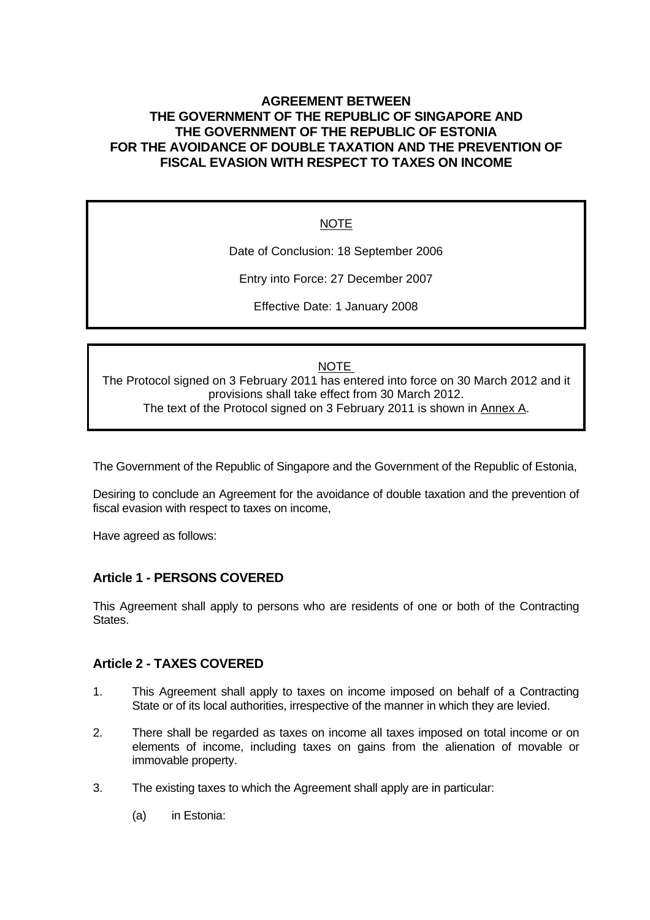# **AGREEMENT BETWEEN THE GOVERNMENT OF THE REPUBLIC OF SINGAPORE AND THE GOVERNMENT OF THE REPUBLIC OF ESTONIA FOR THE AVOIDANCE OF DOUBLE TAXATION AND THE PREVENTION OF FISCAL EVASION WITH RESPECT TO TAXES ON INCOME**

NOTE

Date of Conclusion: 18 September 2006

Entry into Force: 27 December 2007

Effective Date: 1 January 2008

NOTE The Protocol signed on 3 February 2011 has entered into force on 30 March 2012 and it provisions shall take effect from 30 March 2012. The text of the Protocol signed on 3 February 2011 is shown in Annex A.

The Government of the Republic of Singapore and the Government of the Republic of Estonia,

Desiring to conclude an Agreement for the avoidance of double taxation and the prevention of fiscal evasion with respect to taxes on income,

Have agreed as follows:

# **Article 1 - PERSONS COVERED**

This Agreement shall apply to persons who are residents of one or both of the Contracting States.

#### **Article 2 - TAXES COVERED**

- 1. This Agreement shall apply to taxes on income imposed on behalf of a Contracting State or of its local authorities, irrespective of the manner in which they are levied.
- 2. There shall be regarded as taxes on income all taxes imposed on total income or on elements of income, including taxes on gains from the alienation of movable or immovable property.
- 3. The existing taxes to which the Agreement shall apply are in particular:
	- (a) in Estonia: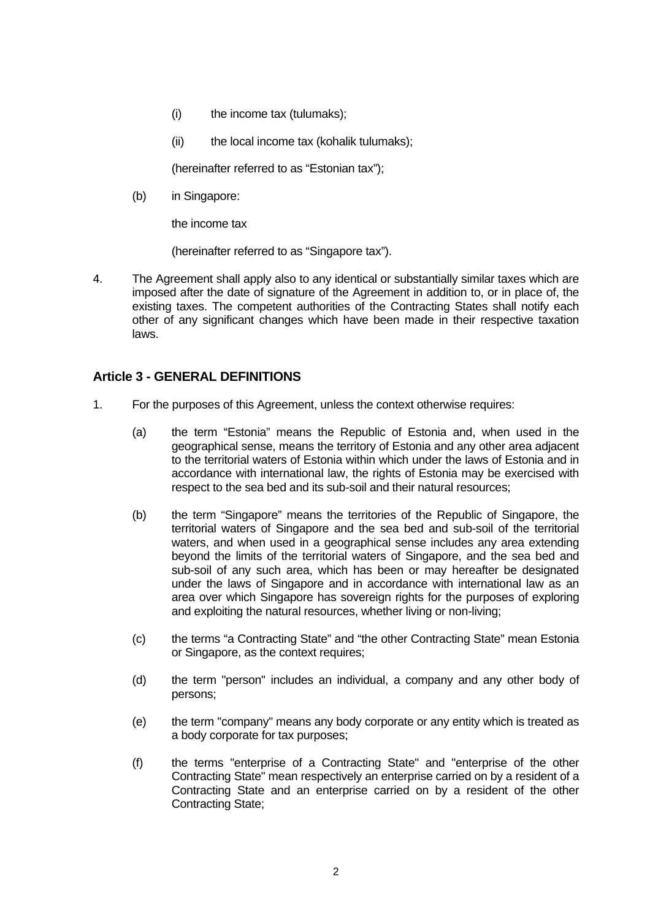- (i) the income tax (tulumaks);
- (ii) the local income tax (kohalik tulumaks);

(hereinafter referred to as "Estonian tax");

(b) in Singapore:

the income tax

(hereinafter referred to as "Singapore tax").

4. The Agreement shall apply also to any identical or substantially similar taxes which are imposed after the date of signature of the Agreement in addition to, or in place of, the existing taxes. The competent authorities of the Contracting States shall notify each other of any significant changes which have been made in their respective taxation laws.

#### **Article 3 - GENERAL DEFINITIONS**

- 1. For the purposes of this Agreement, unless the context otherwise requires:
	- (a) the term "Estonia" means the Republic of Estonia and, when used in the geographical sense, means the territory of Estonia and any other area adjacent to the territorial waters of Estonia within which under the laws of Estonia and in accordance with international law, the rights of Estonia may be exercised with respect to the sea bed and its sub-soil and their natural resources;
	- (b) the term "Singapore" means the territories of the Republic of Singapore, the territorial waters of Singapore and the sea bed and sub-soil of the territorial waters, and when used in a geographical sense includes any area extending beyond the limits of the territorial waters of Singapore, and the sea bed and sub-soil of any such area, which has been or may hereafter be designated under the laws of Singapore and in accordance with international law as an area over which Singapore has sovereign rights for the purposes of exploring and exploiting the natural resources, whether living or non-living;
	- (c) the terms "a Contracting State" and "the other Contracting State" mean Estonia or Singapore, as the context requires;
	- (d) the term "person" includes an individual, a company and any other body of persons;
	- (e) the term "company" means any body corporate or any entity which is treated as a body corporate for tax purposes;
	- (f) the terms "enterprise of a Contracting State" and "enterprise of the other Contracting State" mean respectively an enterprise carried on by a resident of a Contracting State and an enterprise carried on by a resident of the other Contracting State;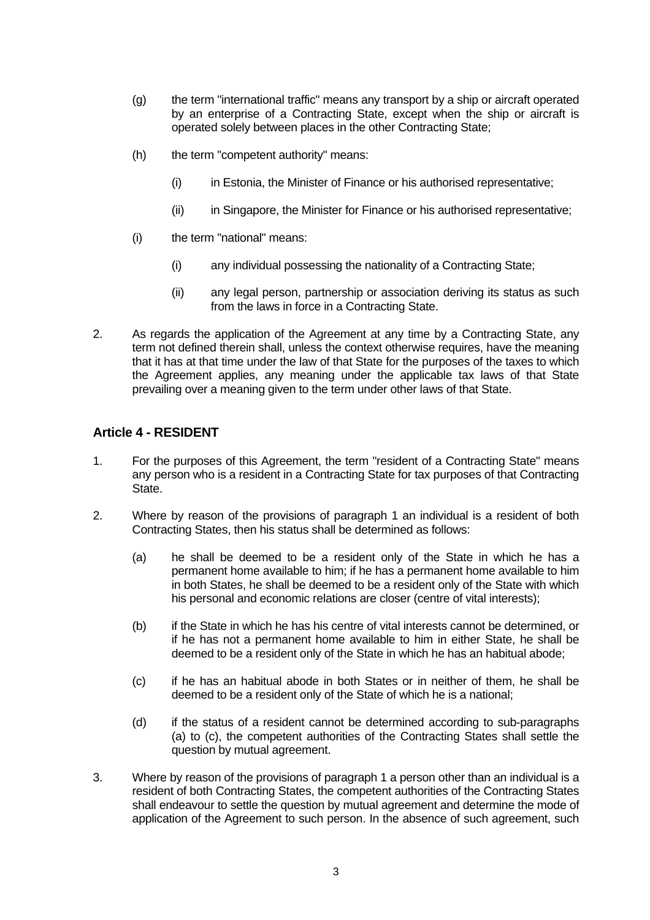- (g) the term "international traffic" means any transport by a ship or aircraft operated by an enterprise of a Contracting State, except when the ship or aircraft is operated solely between places in the other Contracting State;
- (h) the term "competent authority" means:
	- (i) in Estonia, the Minister of Finance or his authorised representative;
	- (ii) in Singapore, the Minister for Finance or his authorised representative;
- (i) the term "national" means:
	- (i) any individual possessing the nationality of a Contracting State;
	- (ii) any legal person, partnership or association deriving its status as such from the laws in force in a Contracting State.
- 2. As regards the application of the Agreement at any time by a Contracting State, any term not defined therein shall, unless the context otherwise requires, have the meaning that it has at that time under the law of that State for the purposes of the taxes to which the Agreement applies, any meaning under the applicable tax laws of that State prevailing over a meaning given to the term under other laws of that State.

# **Article 4 - RESIDENT**

- 1. For the purposes of this Agreement, the term "resident of a Contracting State" means any person who is a resident in a Contracting State for tax purposes of that Contracting State.
- 2. Where by reason of the provisions of paragraph 1 an individual is a resident of both Contracting States, then his status shall be determined as follows:
	- (a) he shall be deemed to be a resident only of the State in which he has a permanent home available to him; if he has a permanent home available to him in both States, he shall be deemed to be a resident only of the State with which his personal and economic relations are closer (centre of vital interests);
	- (b) if the State in which he has his centre of vital interests cannot be determined, or if he has not a permanent home available to him in either State, he shall be deemed to be a resident only of the State in which he has an habitual abode;
	- (c) if he has an habitual abode in both States or in neither of them, he shall be deemed to be a resident only of the State of which he is a national;
	- (d) if the status of a resident cannot be determined according to sub-paragraphs (a) to (c), the competent authorities of the Contracting States shall settle the question by mutual agreement.
- 3. Where by reason of the provisions of paragraph 1 a person other than an individual is a resident of both Contracting States, the competent authorities of the Contracting States shall endeavour to settle the question by mutual agreement and determine the mode of application of the Agreement to such person. In the absence of such agreement, such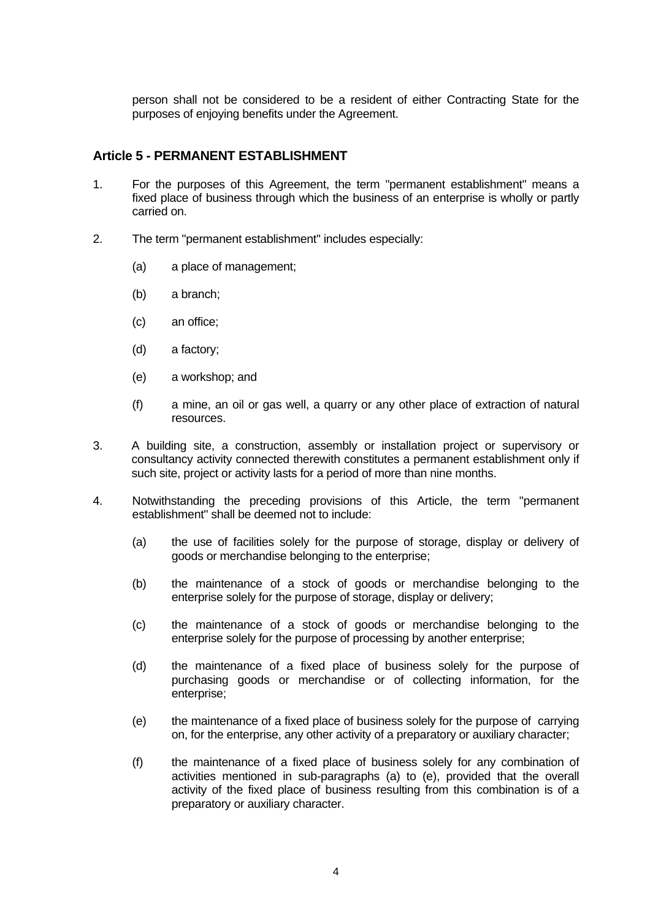person shall not be considered to be a resident of either Contracting State for the purposes of enjoying benefits under the Agreement.

#### **Article 5 - PERMANENT ESTABLISHMENT**

- 1. For the purposes of this Agreement, the term "permanent establishment" means a fixed place of business through which the business of an enterprise is wholly or partly carried on.
- 2. The term "permanent establishment" includes especially:
	- (a) a place of management;
	- (b) a branch;
	- (c) an office;
	- (d) a factory;
	- (e) a workshop; and
	- (f) a mine, an oil or gas well, a quarry or any other place of extraction of natural resources.
- 3. A building site, a construction, assembly or installation project or supervisory or consultancy activity connected therewith constitutes a permanent establishment only if such site, project or activity lasts for a period of more than nine months.
- 4. Notwithstanding the preceding provisions of this Article, the term "permanent establishment" shall be deemed not to include:
	- (a) the use of facilities solely for the purpose of storage, display or delivery of goods or merchandise belonging to the enterprise;
	- (b) the maintenance of a stock of goods or merchandise belonging to the enterprise solely for the purpose of storage, display or delivery;
	- (c) the maintenance of a stock of goods or merchandise belonging to the enterprise solely for the purpose of processing by another enterprise;
	- (d) the maintenance of a fixed place of business solely for the purpose of purchasing goods or merchandise or of collecting information, for the enterprise;
	- (e) the maintenance of a fixed place of business solely for the purpose of carrying on, for the enterprise, any other activity of a preparatory or auxiliary character;
	- (f) the maintenance of a fixed place of business solely for any combination of activities mentioned in sub-paragraphs (a) to (e), provided that the overall activity of the fixed place of business resulting from this combination is of a preparatory or auxiliary character.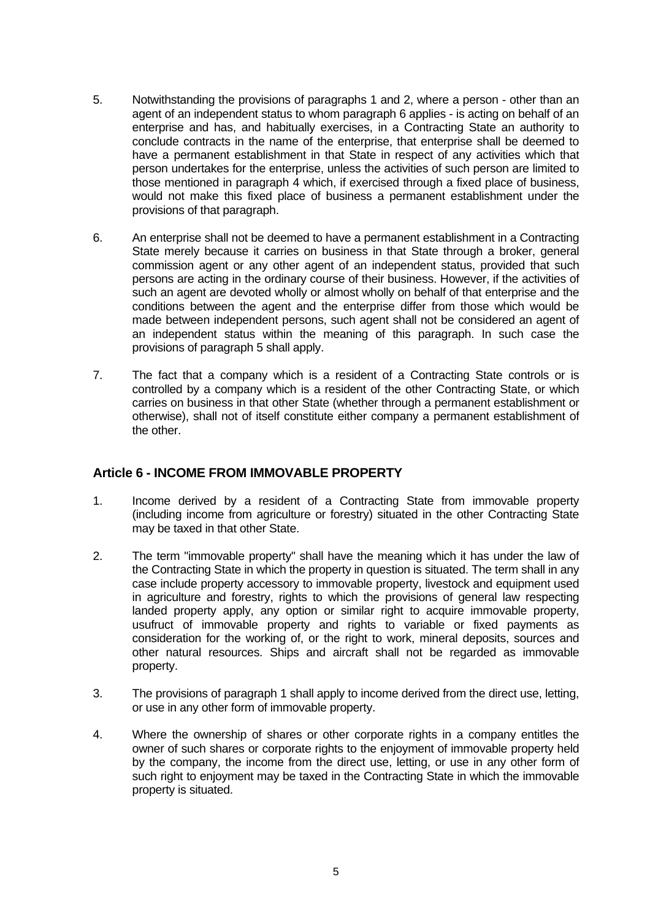- 5. Notwithstanding the provisions of paragraphs 1 and 2, where a person other than an agent of an independent status to whom paragraph 6 applies - is acting on behalf of an enterprise and has, and habitually exercises, in a Contracting State an authority to conclude contracts in the name of the enterprise, that enterprise shall be deemed to have a permanent establishment in that State in respect of any activities which that person undertakes for the enterprise, unless the activities of such person are limited to those mentioned in paragraph 4 which, if exercised through a fixed place of business, would not make this fixed place of business a permanent establishment under the provisions of that paragraph.
- 6. An enterprise shall not be deemed to have a permanent establishment in a Contracting State merely because it carries on business in that State through a broker, general commission agent or any other agent of an independent status, provided that such persons are acting in the ordinary course of their business. However, if the activities of such an agent are devoted wholly or almost wholly on behalf of that enterprise and the conditions between the agent and the enterprise differ from those which would be made between independent persons, such agent shall not be considered an agent of an independent status within the meaning of this paragraph. In such case the provisions of paragraph 5 shall apply.
- 7. The fact that a company which is a resident of a Contracting State controls or is controlled by a company which is a resident of the other Contracting State, or which carries on business in that other State (whether through a permanent establishment or otherwise), shall not of itself constitute either company a permanent establishment of the other.

# **Article 6 - INCOME FROM IMMOVABLE PROPERTY**

- 1. Income derived by a resident of a Contracting State from immovable property (including income from agriculture or forestry) situated in the other Contracting State may be taxed in that other State.
- 2. The term "immovable property" shall have the meaning which it has under the law of the Contracting State in which the property in question is situated. The term shall in any case include property accessory to immovable property, livestock and equipment used in agriculture and forestry, rights to which the provisions of general law respecting landed property apply, any option or similar right to acquire immovable property, usufruct of immovable property and rights to variable or fixed payments as consideration for the working of, or the right to work, mineral deposits, sources and other natural resources. Ships and aircraft shall not be regarded as immovable property.
- 3. The provisions of paragraph 1 shall apply to income derived from the direct use, letting, or use in any other form of immovable property.
- 4. Where the ownership of shares or other corporate rights in a company entitles the owner of such shares or corporate rights to the enjoyment of immovable property held by the company, the income from the direct use, letting, or use in any other form of such right to enjoyment may be taxed in the Contracting State in which the immovable property is situated.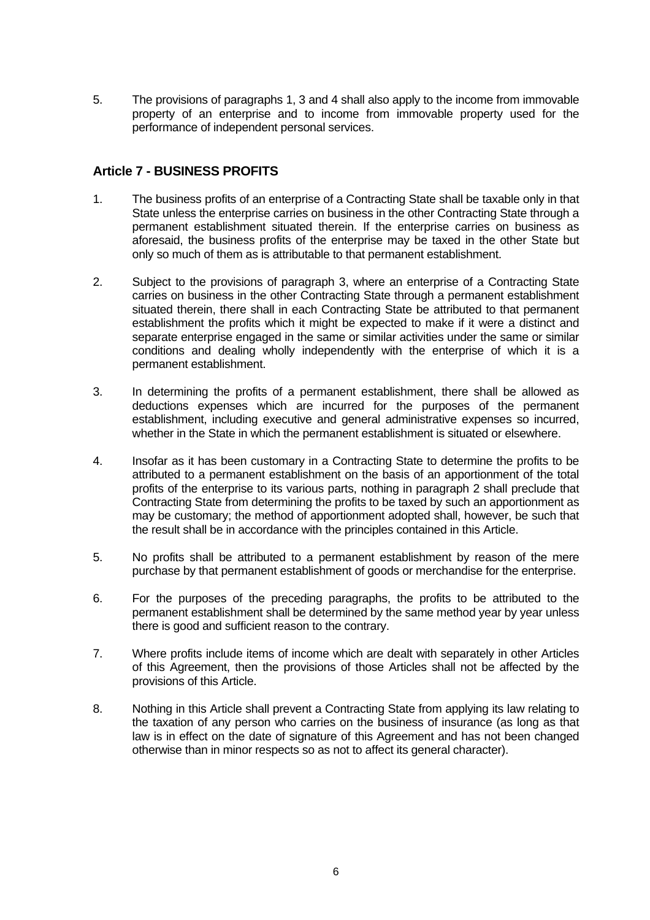5. The provisions of paragraphs 1, 3 and 4 shall also apply to the income from immovable property of an enterprise and to income from immovable property used for the performance of independent personal services.

# **Article 7 - BUSINESS PROFITS**

- 1. The business profits of an enterprise of a Contracting State shall be taxable only in that State unless the enterprise carries on business in the other Contracting State through a permanent establishment situated therein. If the enterprise carries on business as aforesaid, the business profits of the enterprise may be taxed in the other State but only so much of them as is attributable to that permanent establishment.
- 2. Subject to the provisions of paragraph 3, where an enterprise of a Contracting State carries on business in the other Contracting State through a permanent establishment situated therein, there shall in each Contracting State be attributed to that permanent establishment the profits which it might be expected to make if it were a distinct and separate enterprise engaged in the same or similar activities under the same or similar conditions and dealing wholly independently with the enterprise of which it is a permanent establishment.
- 3. In determining the profits of a permanent establishment, there shall be allowed as deductions expenses which are incurred for the purposes of the permanent establishment, including executive and general administrative expenses so incurred, whether in the State in which the permanent establishment is situated or elsewhere.
- 4. Insofar as it has been customary in a Contracting State to determine the profits to be attributed to a permanent establishment on the basis of an apportionment of the total profits of the enterprise to its various parts, nothing in paragraph 2 shall preclude that Contracting State from determining the profits to be taxed by such an apportionment as may be customary; the method of apportionment adopted shall, however, be such that the result shall be in accordance with the principles contained in this Article.
- 5. No profits shall be attributed to a permanent establishment by reason of the mere purchase by that permanent establishment of goods or merchandise for the enterprise.
- 6. For the purposes of the preceding paragraphs, the profits to be attributed to the permanent establishment shall be determined by the same method year by year unless there is good and sufficient reason to the contrary.
- 7. Where profits include items of income which are dealt with separately in other Articles of this Agreement, then the provisions of those Articles shall not be affected by the provisions of this Article.
- 8. Nothing in this Article shall prevent a Contracting State from applying its law relating to the taxation of any person who carries on the business of insurance (as long as that law is in effect on the date of signature of this Agreement and has not been changed otherwise than in minor respects so as not to affect its general character).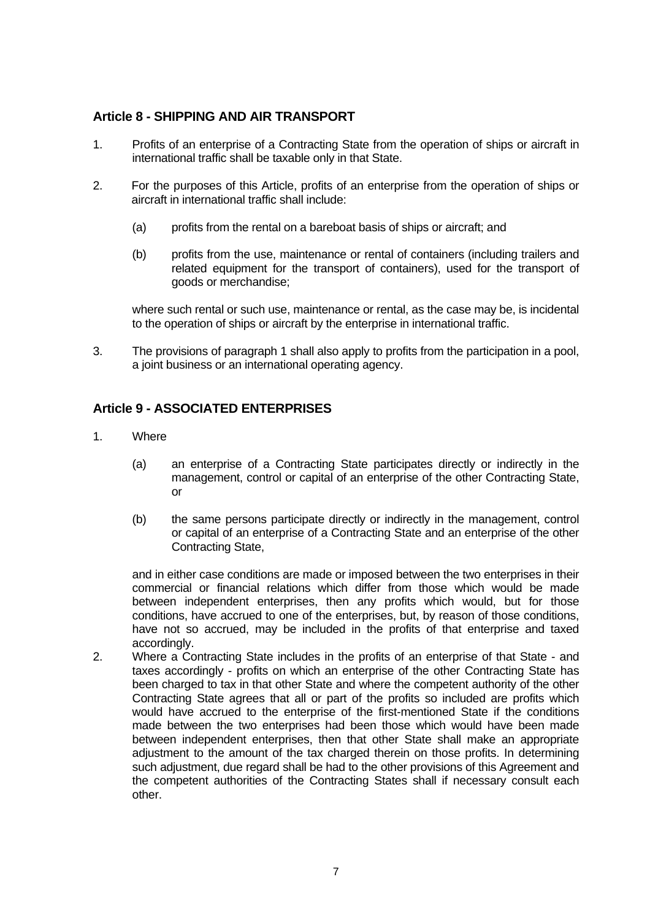#### **Article 8 - SHIPPING AND AIR TRANSPORT**

- 1. Profits of an enterprise of a Contracting State from the operation of ships or aircraft in international traffic shall be taxable only in that State.
- 2. For the purposes of this Article, profits of an enterprise from the operation of ships or aircraft in international traffic shall include:
	- (a) profits from the rental on a bareboat basis of ships or aircraft; and
	- (b) profits from the use, maintenance or rental of containers (including trailers and related equipment for the transport of containers), used for the transport of goods or merchandise;

where such rental or such use, maintenance or rental, as the case may be, is incidental to the operation of ships or aircraft by the enterprise in international traffic.

3. The provisions of paragraph 1 shall also apply to profits from the participation in a pool, a joint business or an international operating agency.

# **Article 9 - ASSOCIATED ENTERPRISES**

- 1. Where
	- (a) an enterprise of a Contracting State participates directly or indirectly in the management, control or capital of an enterprise of the other Contracting State, or
	- (b) the same persons participate directly or indirectly in the management, control or capital of an enterprise of a Contracting State and an enterprise of the other Contracting State,

 and in either case conditions are made or imposed between the two enterprises in their commercial or financial relations which differ from those which would be made between independent enterprises, then any profits which would, but for those conditions, have accrued to one of the enterprises, but, by reason of those conditions, have not so accrued, may be included in the profits of that enterprise and taxed accordingly.

2. Where a Contracting State includes in the profits of an enterprise of that State - and taxes accordingly - profits on which an enterprise of the other Contracting State has been charged to tax in that other State and where the competent authority of the other Contracting State agrees that all or part of the profits so included are profits which would have accrued to the enterprise of the first-mentioned State if the conditions made between the two enterprises had been those which would have been made between independent enterprises, then that other State shall make an appropriate adjustment to the amount of the tax charged therein on those profits. In determining such adjustment, due regard shall be had to the other provisions of this Agreement and the competent authorities of the Contracting States shall if necessary consult each other.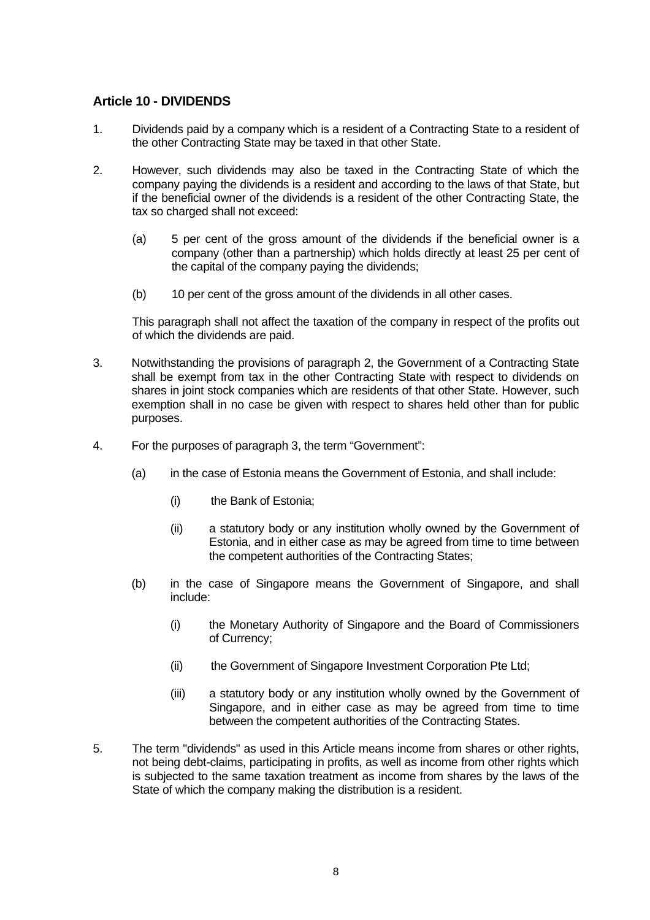#### **Article 10 - DIVIDENDS**

- 1. Dividends paid by a company which is a resident of a Contracting State to a resident of the other Contracting State may be taxed in that other State.
- 2. However, such dividends may also be taxed in the Contracting State of which the company paying the dividends is a resident and according to the laws of that State, but if the beneficial owner of the dividends is a resident of the other Contracting State, the tax so charged shall not exceed:
	- (a) 5 per cent of the gross amount of the dividends if the beneficial owner is a company (other than a partnership) which holds directly at least 25 per cent of the capital of the company paying the dividends;
	- (b) 10 per cent of the gross amount of the dividends in all other cases.

This paragraph shall not affect the taxation of the company in respect of the profits out of which the dividends are paid.

- 3. Notwithstanding the provisions of paragraph 2, the Government of a Contracting State shall be exempt from tax in the other Contracting State with respect to dividends on shares in joint stock companies which are residents of that other State. However, such exemption shall in no case be given with respect to shares held other than for public purposes.
- 4. For the purposes of paragraph 3, the term "Government":
	- (a) in the case of Estonia means the Government of Estonia, and shall include:
		- (i) the Bank of Estonia;
		- (ii) a statutory body or any institution wholly owned by the Government of Estonia, and in either case as may be agreed from time to time between the competent authorities of the Contracting States;
	- (b) in the case of Singapore means the Government of Singapore, and shall include:
		- (i) the Monetary Authority of Singapore and the Board of Commissioners of Currency;
		- (ii) the Government of Singapore Investment Corporation Pte Ltd;
		- (iii) a statutory body or any institution wholly owned by the Government of Singapore, and in either case as may be agreed from time to time between the competent authorities of the Contracting States.
- 5. The term "dividends" as used in this Article means income from shares or other rights, not being debt-claims, participating in profits, as well as income from other rights which is subjected to the same taxation treatment as income from shares by the laws of the State of which the company making the distribution is a resident.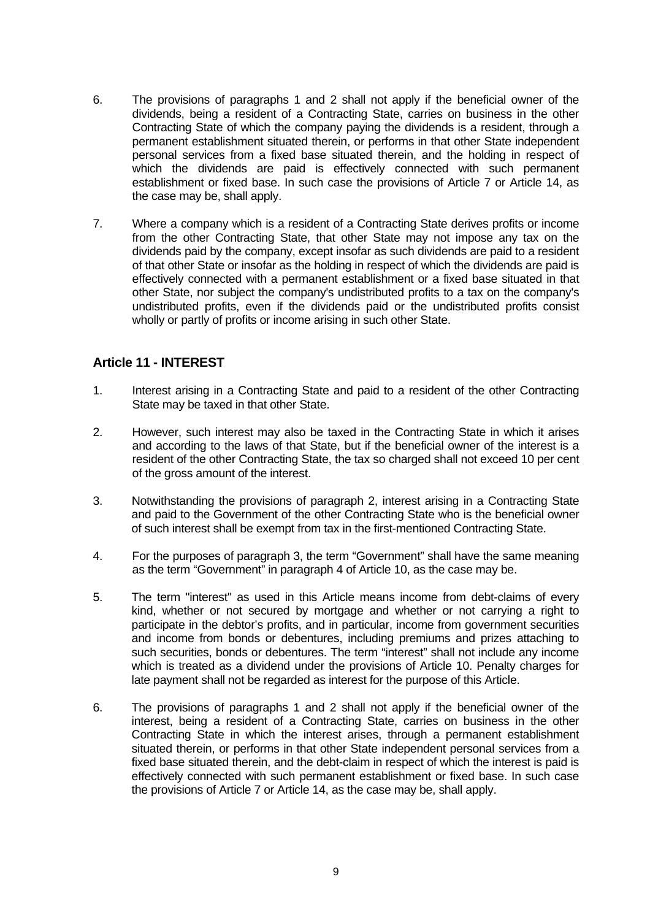- 6. The provisions of paragraphs 1 and 2 shall not apply if the beneficial owner of the dividends, being a resident of a Contracting State, carries on business in the other Contracting State of which the company paying the dividends is a resident, through a permanent establishment situated therein, or performs in that other State independent personal services from a fixed base situated therein, and the holding in respect of which the dividends are paid is effectively connected with such permanent establishment or fixed base. In such case the provisions of Article 7 or Article 14, as the case may be, shall apply.
- 7. Where a company which is a resident of a Contracting State derives profits or income from the other Contracting State, that other State may not impose any tax on the dividends paid by the company, except insofar as such dividends are paid to a resident of that other State or insofar as the holding in respect of which the dividends are paid is effectively connected with a permanent establishment or a fixed base situated in that other State, nor subject the company's undistributed profits to a tax on the company's undistributed profits, even if the dividends paid or the undistributed profits consist wholly or partly of profits or income arising in such other State.

#### **Article 11 - INTEREST**

- 1. Interest arising in a Contracting State and paid to a resident of the other Contracting State may be taxed in that other State.
- 2. However, such interest may also be taxed in the Contracting State in which it arises and according to the laws of that State, but if the beneficial owner of the interest is a resident of the other Contracting State, the tax so charged shall not exceed 10 per cent of the gross amount of the interest.
- 3. Notwithstanding the provisions of paragraph 2, interest arising in a Contracting State and paid to the Government of the other Contracting State who is the beneficial owner of such interest shall be exempt from tax in the first-mentioned Contracting State.
- 4. For the purposes of paragraph 3, the term "Government" shall have the same meaning as the term "Government" in paragraph 4 of Article 10, as the case may be.
- 5. The term "interest" as used in this Article means income from debt-claims of every kind, whether or not secured by mortgage and whether or not carrying a right to participate in the debtor's profits, and in particular, income from government securities and income from bonds or debentures, including premiums and prizes attaching to such securities, bonds or debentures. The term "interest" shall not include any income which is treated as a dividend under the provisions of Article 10. Penalty charges for late payment shall not be regarded as interest for the purpose of this Article.
- 6. The provisions of paragraphs 1 and 2 shall not apply if the beneficial owner of the interest, being a resident of a Contracting State, carries on business in the other Contracting State in which the interest arises, through a permanent establishment situated therein, or performs in that other State independent personal services from a fixed base situated therein, and the debt-claim in respect of which the interest is paid is effectively connected with such permanent establishment or fixed base. In such case the provisions of Article 7 or Article 14, as the case may be, shall apply.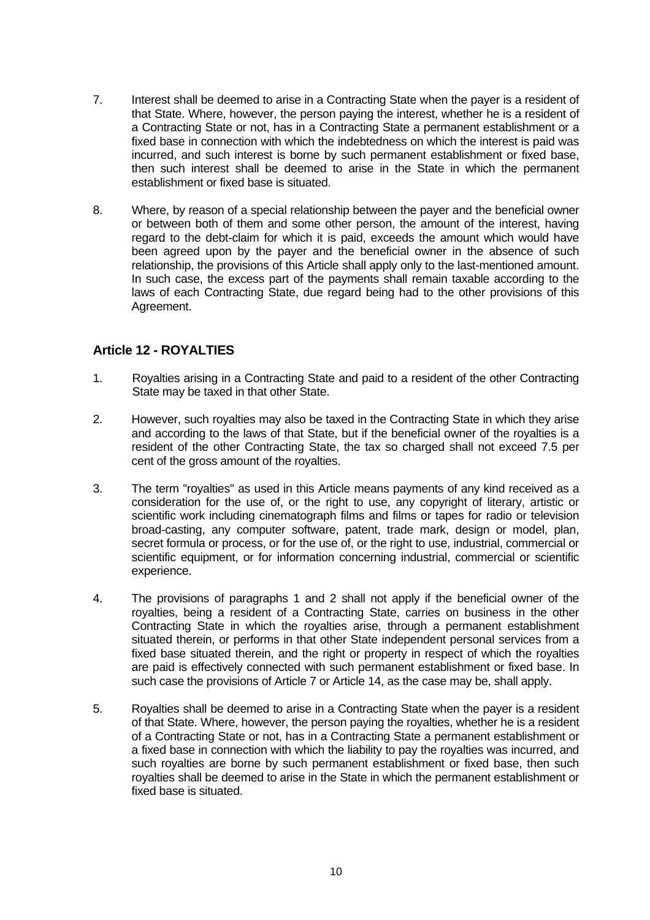- 7. Interest shall be deemed to arise in a Contracting State when the payer is a resident of that State. Where, however, the person paying the interest, whether he is a resident of a Contracting State or not, has in a Contracting State a permanent establishment or a fixed base in connection with which the indebtedness on which the interest is paid was incurred, and such interest is borne by such permanent establishment or fixed base, then such interest shall be deemed to arise in the State in which the permanent establishment or fixed base is situated.
- 8. Where, by reason of a special relationship between the payer and the beneficial owner or between both of them and some other person, the amount of the interest, having regard to the debt-claim for which it is paid, exceeds the amount which would have been agreed upon by the payer and the beneficial owner in the absence of such relationship, the provisions of this Article shall apply only to the last-mentioned amount. In such case, the excess part of the payments shall remain taxable according to the laws of each Contracting State, due regard being had to the other provisions of this Agreement.

#### **Article 12 - ROYALTIES**

- 1. Royalties arising in a Contracting State and paid to a resident of the other Contracting State may be taxed in that other State.
- 2. However, such royalties may also be taxed in the Contracting State in which they arise and according to the laws of that State, but if the beneficial owner of the royalties is a resident of the other Contracting State, the tax so charged shall not exceed 7.5 per cent of the gross amount of the royalties.
- 3. The term "royalties" as used in this Article means payments of any kind received as a consideration for the use of, or the right to use, any copyright of literary, artistic or scientific work including cinematograph films and films or tapes for radio or television broad-casting, any computer software, patent, trade mark, design or model, plan, secret formula or process, or for the use of, or the right to use, industrial, commercial or scientific equipment, or for information concerning industrial, commercial or scientific experience.
- 4. The provisions of paragraphs 1 and 2 shall not apply if the beneficial owner of the royalties, being a resident of a Contracting State, carries on business in the other Contracting State in which the royalties arise, through a permanent establishment situated therein, or performs in that other State independent personal services from a fixed base situated therein, and the right or property in respect of which the royalties are paid is effectively connected with such permanent establishment or fixed base. In such case the provisions of Article 7 or Article 14, as the case may be, shall apply.
- 5. Royalties shall be deemed to arise in a Contracting State when the payer is a resident of that State. Where, however, the person paying the royalties, whether he is a resident of a Contracting State or not, has in a Contracting State a permanent establishment or a fixed base in connection with which the liability to pay the royalties was incurred, and such royalties are borne by such permanent establishment or fixed base, then such royalties shall be deemed to arise in the State in which the permanent establishment or fixed base is situated.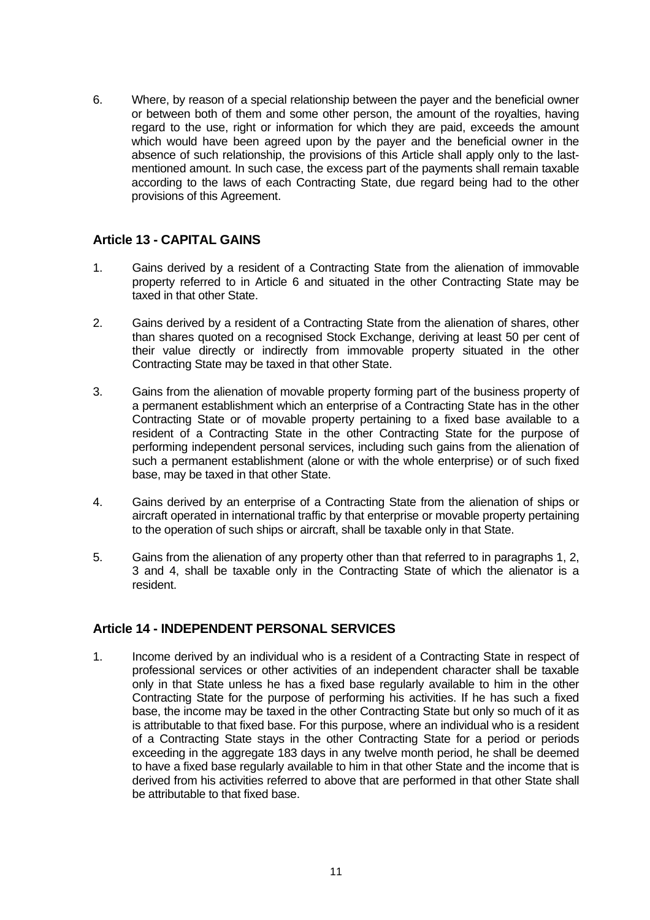6. Where, by reason of a special relationship between the payer and the beneficial owner or between both of them and some other person, the amount of the royalties, having regard to the use, right or information for which they are paid, exceeds the amount which would have been agreed upon by the payer and the beneficial owner in the absence of such relationship, the provisions of this Article shall apply only to the lastmentioned amount. In such case, the excess part of the payments shall remain taxable according to the laws of each Contracting State, due regard being had to the other provisions of this Agreement.

# **Article 13 - CAPITAL GAINS**

- 1. Gains derived by a resident of a Contracting State from the alienation of immovable property referred to in Article 6 and situated in the other Contracting State may be taxed in that other State.
- 2. Gains derived by a resident of a Contracting State from the alienation of shares, other than shares quoted on a recognised Stock Exchange, deriving at least 50 per cent of their value directly or indirectly from immovable property situated in the other Contracting State may be taxed in that other State.
- 3. Gains from the alienation of movable property forming part of the business property of a permanent establishment which an enterprise of a Contracting State has in the other Contracting State or of movable property pertaining to a fixed base available to a resident of a Contracting State in the other Contracting State for the purpose of performing independent personal services, including such gains from the alienation of such a permanent establishment (alone or with the whole enterprise) or of such fixed base, may be taxed in that other State.
- 4. Gains derived by an enterprise of a Contracting State from the alienation of ships or aircraft operated in international traffic by that enterprise or movable property pertaining to the operation of such ships or aircraft, shall be taxable only in that State.
- 5. Gains from the alienation of any property other than that referred to in paragraphs 1, 2, 3 and 4, shall be taxable only in the Contracting State of which the alienator is a resident.

#### **Article 14 - INDEPENDENT PERSONAL SERVICES**

1. Income derived by an individual who is a resident of a Contracting State in respect of professional services or other activities of an independent character shall be taxable only in that State unless he has a fixed base regularly available to him in the other Contracting State for the purpose of performing his activities. If he has such a fixed base, the income may be taxed in the other Contracting State but only so much of it as is attributable to that fixed base. For this purpose, where an individual who is a resident of a Contracting State stays in the other Contracting State for a period or periods exceeding in the aggregate 183 days in any twelve month period, he shall be deemed to have a fixed base regularly available to him in that other State and the income that is derived from his activities referred to above that are performed in that other State shall be attributable to that fixed base.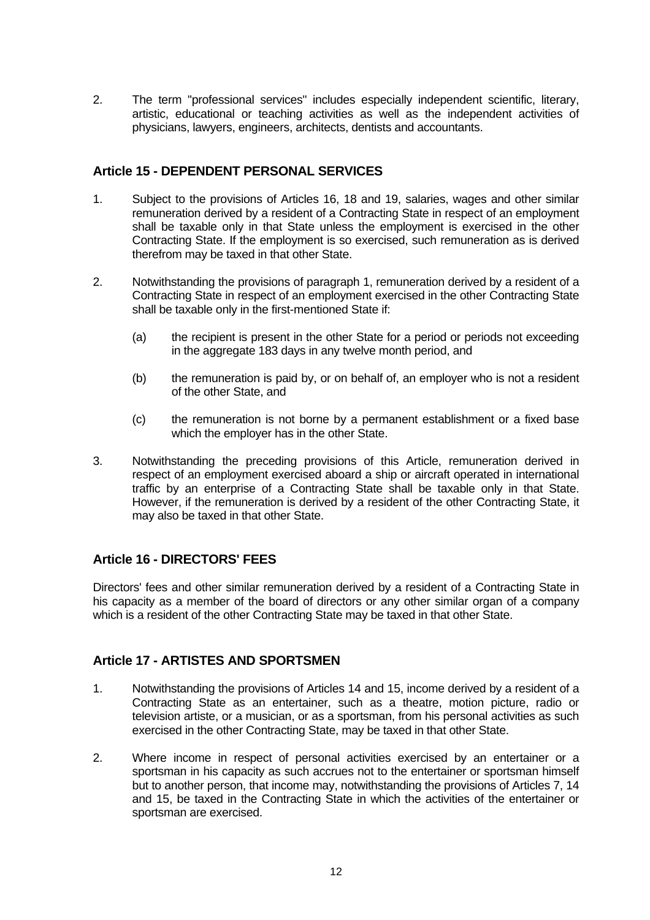2. The term "professional services" includes especially independent scientific, literary, artistic, educational or teaching activities as well as the independent activities of physicians, lawyers, engineers, architects, dentists and accountants.

# **Article 15 - DEPENDENT PERSONAL SERVICES**

- 1. Subject to the provisions of Articles 16, 18 and 19, salaries, wages and other similar remuneration derived by a resident of a Contracting State in respect of an employment shall be taxable only in that State unless the employment is exercised in the other Contracting State. If the employment is so exercised, such remuneration as is derived therefrom may be taxed in that other State.
- 2. Notwithstanding the provisions of paragraph 1, remuneration derived by a resident of a Contracting State in respect of an employment exercised in the other Contracting State shall be taxable only in the first-mentioned State if:
	- (a) the recipient is present in the other State for a period or periods not exceeding in the aggregate 183 days in any twelve month period, and
	- (b) the remuneration is paid by, or on behalf of, an employer who is not a resident of the other State, and
	- (c) the remuneration is not borne by a permanent establishment or a fixed base which the employer has in the other State.
- 3. Notwithstanding the preceding provisions of this Article, remuneration derived in respect of an employment exercised aboard a ship or aircraft operated in international traffic by an enterprise of a Contracting State shall be taxable only in that State. However, if the remuneration is derived by a resident of the other Contracting State, it may also be taxed in that other State.

# **Article 16 - DIRECTORS' FEES**

Directors' fees and other similar remuneration derived by a resident of a Contracting State in his capacity as a member of the board of directors or any other similar organ of a company which is a resident of the other Contracting State may be taxed in that other State.

# **Article 17 - ARTISTES AND SPORTSMEN**

- 1. Notwithstanding the provisions of Articles 14 and 15, income derived by a resident of a Contracting State as an entertainer, such as a theatre, motion picture, radio or television artiste, or a musician, or as a sportsman, from his personal activities as such exercised in the other Contracting State, may be taxed in that other State.
- 2. Where income in respect of personal activities exercised by an entertainer or a sportsman in his capacity as such accrues not to the entertainer or sportsman himself but to another person, that income may, notwithstanding the provisions of Articles 7, 14 and 15, be taxed in the Contracting State in which the activities of the entertainer or sportsman are exercised.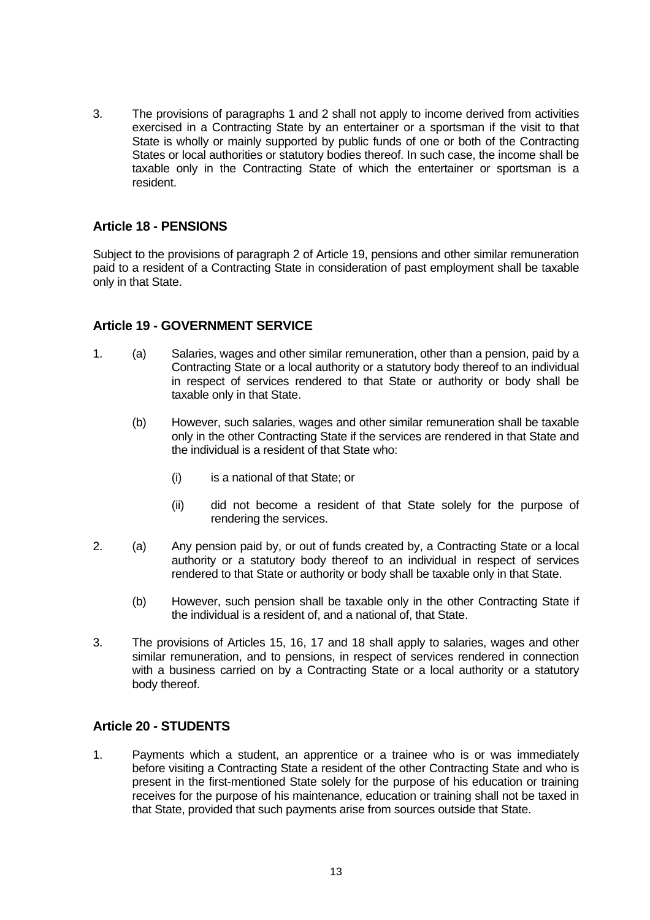3. The provisions of paragraphs 1 and 2 shall not apply to income derived from activities exercised in a Contracting State by an entertainer or a sportsman if the visit to that State is wholly or mainly supported by public funds of one or both of the Contracting States or local authorities or statutory bodies thereof. In such case, the income shall be taxable only in the Contracting State of which the entertainer or sportsman is a resident.

# **Article 18 - PENSIONS**

Subject to the provisions of paragraph 2 of Article 19, pensions and other similar remuneration paid to a resident of a Contracting State in consideration of past employment shall be taxable only in that State.

#### **Article 19 - GOVERNMENT SERVICE**

- 1. (a) Salaries, wages and other similar remuneration, other than a pension, paid by a Contracting State or a local authority or a statutory body thereof to an individual in respect of services rendered to that State or authority or body shall be taxable only in that State.
	- (b) However, such salaries, wages and other similar remuneration shall be taxable only in the other Contracting State if the services are rendered in that State and the individual is a resident of that State who:
		- (i) is a national of that State; or
		- (ii) did not become a resident of that State solely for the purpose of rendering the services.
- 2. (a) Any pension paid by, or out of funds created by, a Contracting State or a local authority or a statutory body thereof to an individual in respect of services rendered to that State or authority or body shall be taxable only in that State.
	- (b) However, such pension shall be taxable only in the other Contracting State if the individual is a resident of, and a national of, that State.
- 3. The provisions of Articles 15, 16, 17 and 18 shall apply to salaries, wages and other similar remuneration, and to pensions, in respect of services rendered in connection with a business carried on by a Contracting State or a local authority or a statutory body thereof.

#### **Article 20 - STUDENTS**

1. Payments which a student, an apprentice or a trainee who is or was immediately before visiting a Contracting State a resident of the other Contracting State and who is present in the first-mentioned State solely for the purpose of his education or training receives for the purpose of his maintenance, education or training shall not be taxed in that State, provided that such payments arise from sources outside that State.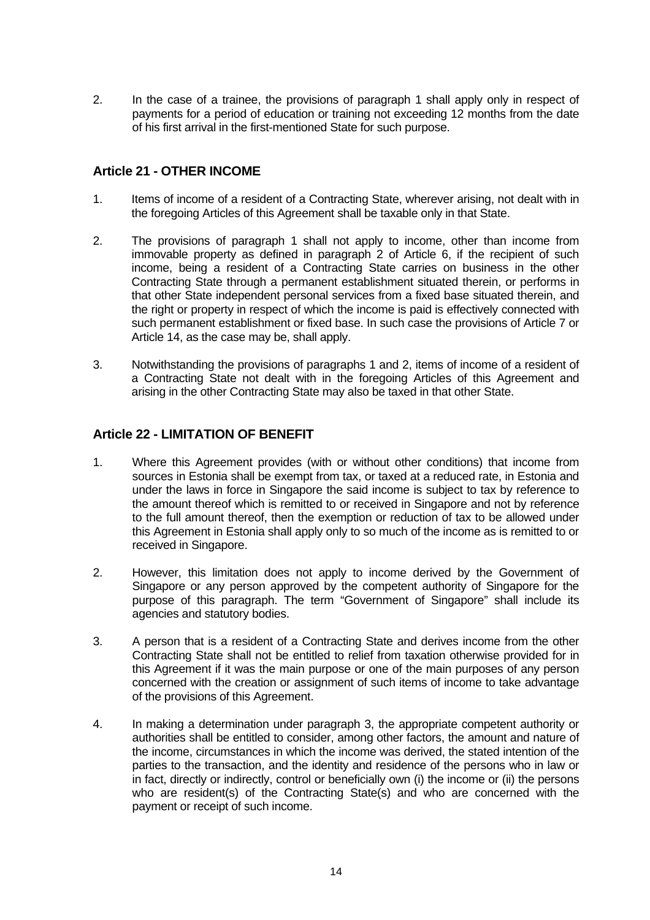2. In the case of a trainee, the provisions of paragraph 1 shall apply only in respect of payments for a period of education or training not exceeding 12 months from the date of his first arrival in the first-mentioned State for such purpose.

# **Article 21 - OTHER INCOME**

- 1. Items of income of a resident of a Contracting State, wherever arising, not dealt with in the foregoing Articles of this Agreement shall be taxable only in that State.
- 2. The provisions of paragraph 1 shall not apply to income, other than income from immovable property as defined in paragraph 2 of Article 6, if the recipient of such income, being a resident of a Contracting State carries on business in the other Contracting State through a permanent establishment situated therein, or performs in that other State independent personal services from a fixed base situated therein, and the right or property in respect of which the income is paid is effectively connected with such permanent establishment or fixed base. In such case the provisions of Article 7 or Article 14, as the case may be, shall apply.
- 3. Notwithstanding the provisions of paragraphs 1 and 2, items of income of a resident of a Contracting State not dealt with in the foregoing Articles of this Agreement and arising in the other Contracting State may also be taxed in that other State.

#### **Article 22 - LIMITATION OF BENEFIT**

- 1. Where this Agreement provides (with or without other conditions) that income from sources in Estonia shall be exempt from tax, or taxed at a reduced rate, in Estonia and under the laws in force in Singapore the said income is subject to tax by reference to the amount thereof which is remitted to or received in Singapore and not by reference to the full amount thereof, then the exemption or reduction of tax to be allowed under this Agreement in Estonia shall apply only to so much of the income as is remitted to or received in Singapore.
- 2. However, this limitation does not apply to income derived by the Government of Singapore or any person approved by the competent authority of Singapore for the purpose of this paragraph. The term "Government of Singapore" shall include its agencies and statutory bodies.
- 3. A person that is a resident of a Contracting State and derives income from the other Contracting State shall not be entitled to relief from taxation otherwise provided for in this Agreement if it was the main purpose or one of the main purposes of any person concerned with the creation or assignment of such items of income to take advantage of the provisions of this Agreement.
- 4. In making a determination under paragraph 3, the appropriate competent authority or authorities shall be entitled to consider, among other factors, the amount and nature of the income, circumstances in which the income was derived, the stated intention of the parties to the transaction, and the identity and residence of the persons who in law or in fact, directly or indirectly, control or beneficially own (i) the income or (ii) the persons who are resident(s) of the Contracting State(s) and who are concerned with the payment or receipt of such income.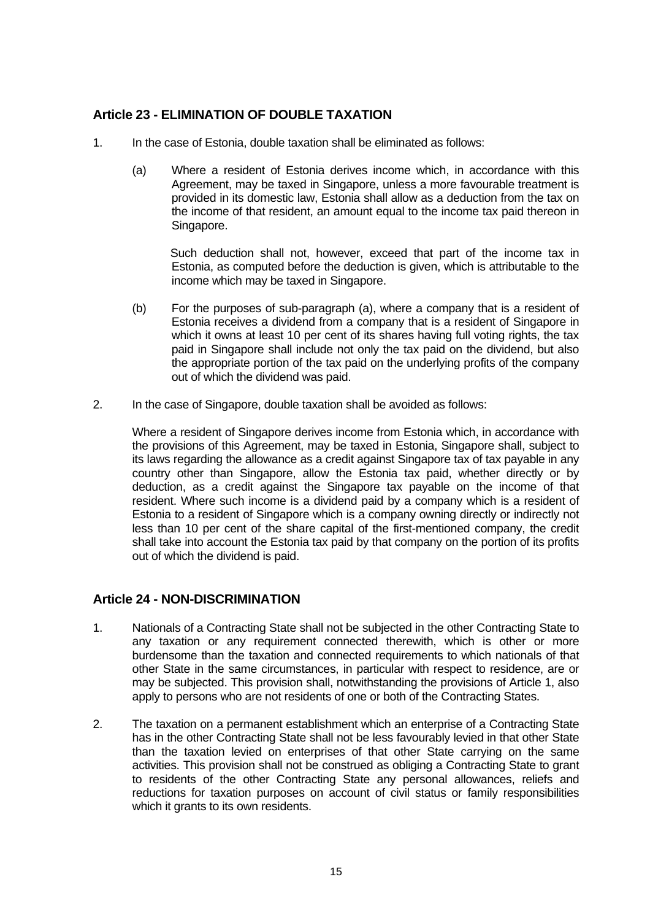# **Article 23 - ELIMINATION OF DOUBLE TAXATION**

- 1. In the case of Estonia, double taxation shall be eliminated as follows:
	- (a) Where a resident of Estonia derives income which, in accordance with this Agreement, may be taxed in Singapore, unless a more favourable treatment is provided in its domestic law, Estonia shall allow as a deduction from the tax on the income of that resident, an amount equal to the income tax paid thereon in Singapore.

Such deduction shall not, however, exceed that part of the income tax in Estonia, as computed before the deduction is given, which is attributable to the income which may be taxed in Singapore.

- (b) For the purposes of sub-paragraph (a), where a company that is a resident of Estonia receives a dividend from a company that is a resident of Singapore in which it owns at least 10 per cent of its shares having full voting rights, the tax paid in Singapore shall include not only the tax paid on the dividend, but also the appropriate portion of the tax paid on the underlying profits of the company out of which the dividend was paid.
- 2. In the case of Singapore, double taxation shall be avoided as follows:

Where a resident of Singapore derives income from Estonia which, in accordance with the provisions of this Agreement, may be taxed in Estonia, Singapore shall, subject to its laws regarding the allowance as a credit against Singapore tax of tax payable in any country other than Singapore, allow the Estonia tax paid, whether directly or by deduction, as a credit against the Singapore tax payable on the income of that resident. Where such income is a dividend paid by a company which is a resident of Estonia to a resident of Singapore which is a company owning directly or indirectly not less than 10 per cent of the share capital of the first-mentioned company, the credit shall take into account the Estonia tax paid by that company on the portion of its profits out of which the dividend is paid.

#### **Article 24 - NON-DISCRIMINATION**

- 1. Nationals of a Contracting State shall not be subjected in the other Contracting State to any taxation or any requirement connected therewith, which is other or more burdensome than the taxation and connected requirements to which nationals of that other State in the same circumstances, in particular with respect to residence, are or may be subjected. This provision shall, notwithstanding the provisions of Article 1, also apply to persons who are not residents of one or both of the Contracting States.
- 2. The taxation on a permanent establishment which an enterprise of a Contracting State has in the other Contracting State shall not be less favourably levied in that other State than the taxation levied on enterprises of that other State carrying on the same activities. This provision shall not be construed as obliging a Contracting State to grant to residents of the other Contracting State any personal allowances, reliefs and reductions for taxation purposes on account of civil status or family responsibilities which it grants to its own residents.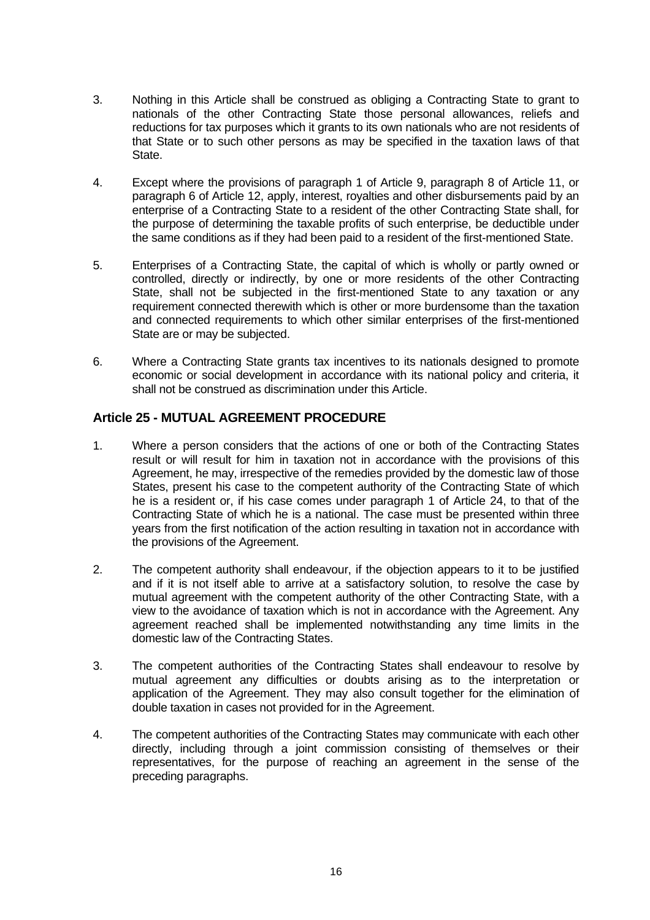- 3. Nothing in this Article shall be construed as obliging a Contracting State to grant to nationals of the other Contracting State those personal allowances, reliefs and reductions for tax purposes which it grants to its own nationals who are not residents of that State or to such other persons as may be specified in the taxation laws of that State.
- 4. Except where the provisions of paragraph 1 of Article 9, paragraph 8 of Article 11, or paragraph 6 of Article 12, apply, interest, royalties and other disbursements paid by an enterprise of a Contracting State to a resident of the other Contracting State shall, for the purpose of determining the taxable profits of such enterprise, be deductible under the same conditions as if they had been paid to a resident of the first-mentioned State.
- 5. Enterprises of a Contracting State, the capital of which is wholly or partly owned or controlled, directly or indirectly, by one or more residents of the other Contracting State, shall not be subjected in the first-mentioned State to any taxation or any requirement connected therewith which is other or more burdensome than the taxation and connected requirements to which other similar enterprises of the first-mentioned State are or may be subjected.
- 6. Where a Contracting State grants tax incentives to its nationals designed to promote economic or social development in accordance with its national policy and criteria, it shall not be construed as discrimination under this Article.

# **Article 25 - MUTUAL AGREEMENT PROCEDURE**

- 1. Where a person considers that the actions of one or both of the Contracting States result or will result for him in taxation not in accordance with the provisions of this Agreement, he may, irrespective of the remedies provided by the domestic law of those States, present his case to the competent authority of the Contracting State of which he is a resident or, if his case comes under paragraph 1 of Article 24, to that of the Contracting State of which he is a national. The case must be presented within three years from the first notification of the action resulting in taxation not in accordance with the provisions of the Agreement.
- 2. The competent authority shall endeavour, if the objection appears to it to be justified and if it is not itself able to arrive at a satisfactory solution, to resolve the case by mutual agreement with the competent authority of the other Contracting State, with a view to the avoidance of taxation which is not in accordance with the Agreement. Any agreement reached shall be implemented notwithstanding any time limits in the domestic law of the Contracting States.
- 3. The competent authorities of the Contracting States shall endeavour to resolve by mutual agreement any difficulties or doubts arising as to the interpretation or application of the Agreement. They may also consult together for the elimination of double taxation in cases not provided for in the Agreement.
- 4. The competent authorities of the Contracting States may communicate with each other directly, including through a joint commission consisting of themselves or their representatives, for the purpose of reaching an agreement in the sense of the preceding paragraphs.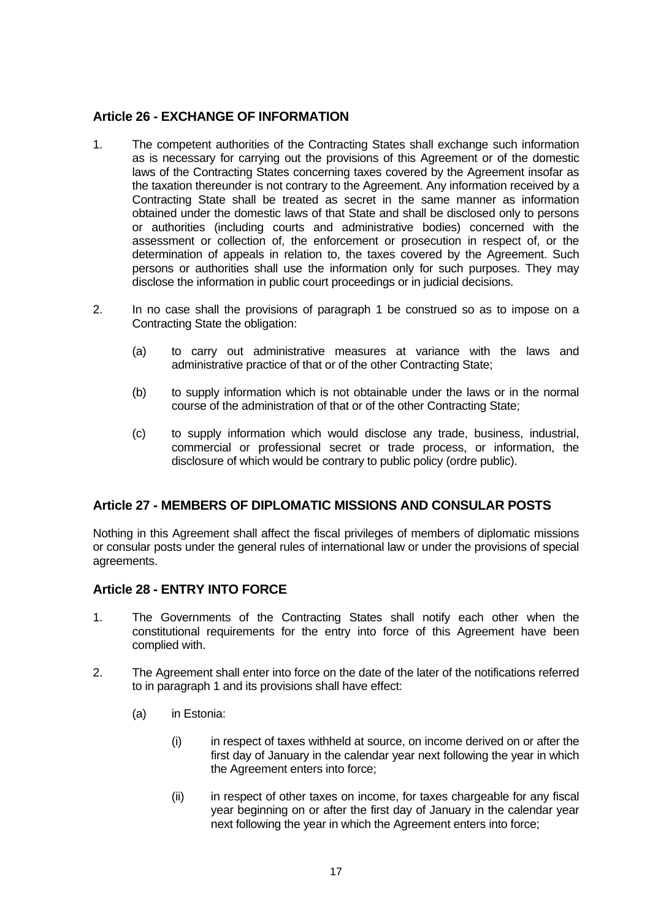#### **Article 26 - EXCHANGE OF INFORMATION**

- 1. The competent authorities of the Contracting States shall exchange such information as is necessary for carrying out the provisions of this Agreement or of the domestic laws of the Contracting States concerning taxes covered by the Agreement insofar as the taxation thereunder is not contrary to the Agreement. Any information received by a Contracting State shall be treated as secret in the same manner as information obtained under the domestic laws of that State and shall be disclosed only to persons or authorities (including courts and administrative bodies) concerned with the assessment or collection of, the enforcement or prosecution in respect of, or the determination of appeals in relation to, the taxes covered by the Agreement. Such persons or authorities shall use the information only for such purposes. They may disclose the information in public court proceedings or in judicial decisions.
- 2. In no case shall the provisions of paragraph 1 be construed so as to impose on a Contracting State the obligation:
	- (a) to carry out administrative measures at variance with the laws and administrative practice of that or of the other Contracting State;
	- (b) to supply information which is not obtainable under the laws or in the normal course of the administration of that or of the other Contracting State;
	- (c) to supply information which would disclose any trade, business, industrial, commercial or professional secret or trade process, or information, the disclosure of which would be contrary to public policy (ordre public).

# **Article 27 - MEMBERS OF DIPLOMATIC MISSIONS AND CONSULAR POSTS**

Nothing in this Agreement shall affect the fiscal privileges of members of diplomatic missions or consular posts under the general rules of international law or under the provisions of special agreements.

# **Article 28 - ENTRY INTO FORCE**

- 1. The Governments of the Contracting States shall notify each other when the constitutional requirements for the entry into force of this Agreement have been complied with.
- 2. The Agreement shall enter into force on the date of the later of the notifications referred to in paragraph 1 and its provisions shall have effect:
	- (a) in Estonia:
		- (i) in respect of taxes withheld at source, on income derived on or after the first day of January in the calendar year next following the year in which the Agreement enters into force;
		- (ii) in respect of other taxes on income, for taxes chargeable for any fiscal year beginning on or after the first day of January in the calendar year next following the year in which the Agreement enters into force;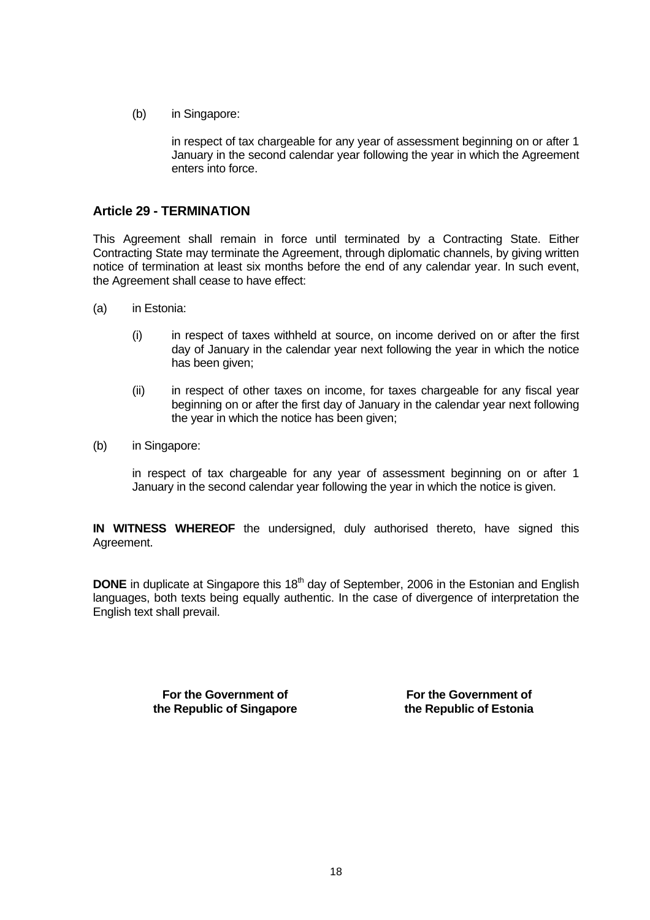(b) in Singapore:

in respect of tax chargeable for any year of assessment beginning on or after 1 January in the second calendar year following the year in which the Agreement enters into force.

#### **Article 29 - TERMINATION**

This Agreement shall remain in force until terminated by a Contracting State. Either Contracting State may terminate the Agreement, through diplomatic channels, by giving written notice of termination at least six months before the end of any calendar year. In such event, the Agreement shall cease to have effect:

- (a) in Estonia:
	- (i) in respect of taxes withheld at source, on income derived on or after the first day of January in the calendar year next following the year in which the notice has been given;
	- (ii) in respect of other taxes on income, for taxes chargeable for any fiscal year beginning on or after the first day of January in the calendar year next following the year in which the notice has been given;
- (b) in Singapore:

in respect of tax chargeable for any year of assessment beginning on or after 1 January in the second calendar year following the year in which the notice is given.

**IN WITNESS WHEREOF** the undersigned, duly authorised thereto, have signed this Agreement.

**DONE** in duplicate at Singapore this 18<sup>th</sup> day of September, 2006 in the Estonian and English languages, both texts being equally authentic. In the case of divergence of interpretation the English text shall prevail.

> **For the Government of the Republic of Singapore**

**For the Government of the Republic of Estonia**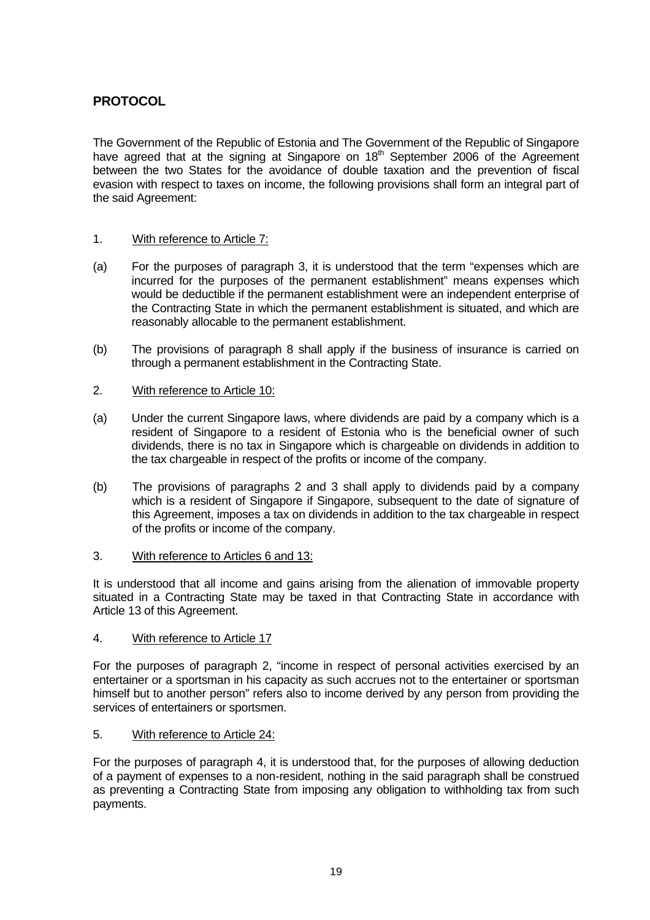# **PROTOCOL**

The Government of the Republic of Estonia and The Government of the Republic of Singapore have agreed that at the signing at Singapore on  $18<sup>th</sup>$  September 2006 of the Agreement between the two States for the avoidance of double taxation and the prevention of fiscal evasion with respect to taxes on income, the following provisions shall form an integral part of the said Agreement:

#### 1. With reference to Article 7:

- (a) For the purposes of paragraph 3, it is understood that the term "expenses which are incurred for the purposes of the permanent establishment" means expenses which would be deductible if the permanent establishment were an independent enterprise of the Contracting State in which the permanent establishment is situated, and which are reasonably allocable to the permanent establishment.
- (b) The provisions of paragraph 8 shall apply if the business of insurance is carried on through a permanent establishment in the Contracting State.
- 2. With reference to Article 10:
- (a) Under the current Singapore laws, where dividends are paid by a company which is a resident of Singapore to a resident of Estonia who is the beneficial owner of such dividends, there is no tax in Singapore which is chargeable on dividends in addition to the tax chargeable in respect of the profits or income of the company.
- (b) The provisions of paragraphs 2 and 3 shall apply to dividends paid by a company which is a resident of Singapore if Singapore, subsequent to the date of signature of this Agreement, imposes a tax on dividends in addition to the tax chargeable in respect of the profits or income of the company.

#### 3. With reference to Articles 6 and 13:

It is understood that all income and gains arising from the alienation of immovable property situated in a Contracting State may be taxed in that Contracting State in accordance with Article 13 of this Agreement.

#### 4. With reference to Article 17

For the purposes of paragraph 2, "income in respect of personal activities exercised by an entertainer or a sportsman in his capacity as such accrues not to the entertainer or sportsman himself but to another person" refers also to income derived by any person from providing the services of entertainers or sportsmen.

#### 5. With reference to Article 24:

For the purposes of paragraph 4, it is understood that, for the purposes of allowing deduction of a payment of expenses to a non-resident, nothing in the said paragraph shall be construed as preventing a Contracting State from imposing any obligation to withholding tax from such payments.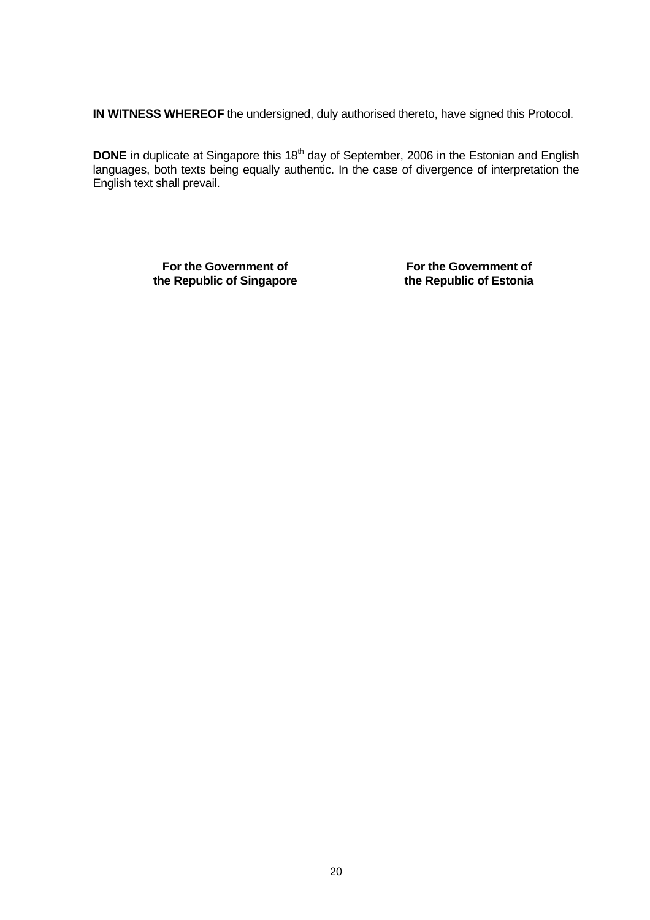**IN WITNESS WHEREOF** the undersigned, duly authorised thereto, have signed this Protocol.

**DONE** in duplicate at Singapore this 18<sup>th</sup> day of September, 2006 in the Estonian and English languages, both texts being equally authentic. In the case of divergence of interpretation the English text shall prevail.

> **For the Government of the Republic of Singapore**

**For the Government of the Republic of Estonia**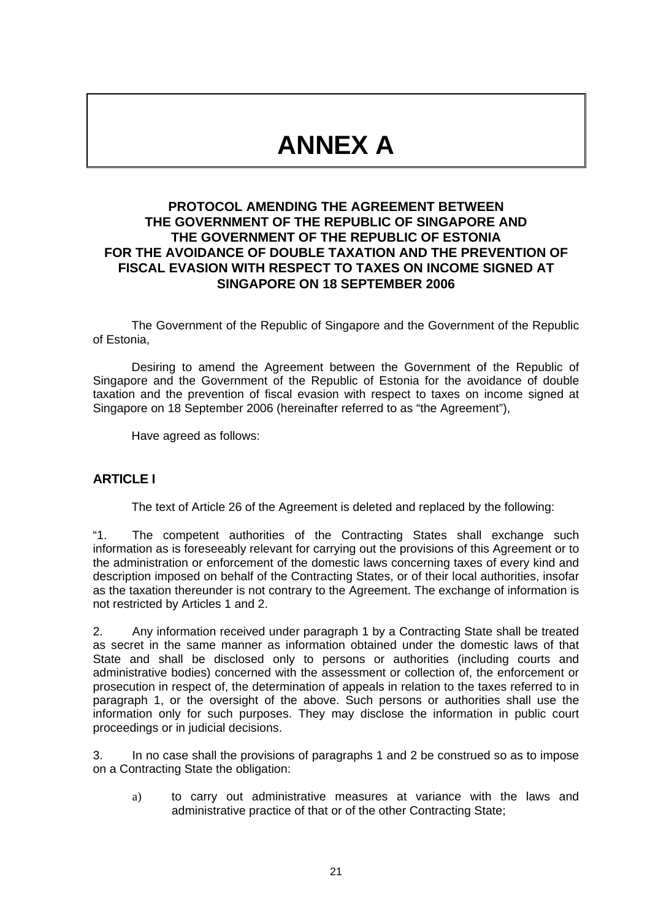# **ANNEX A**

# **PROTOCOL AMENDING THE AGREEMENT BETWEEN THE GOVERNMENT OF THE REPUBLIC OF SINGAPORE AND THE GOVERNMENT OF THE REPUBLIC OF ESTONIA FOR THE AVOIDANCE OF DOUBLE TAXATION AND THE PREVENTION OF FISCAL EVASION WITH RESPECT TO TAXES ON INCOME SIGNED AT SINGAPORE ON 18 SEPTEMBER 2006**

The Government of the Republic of Singapore and the Government of the Republic of Estonia,

Desiring to amend the Agreement between the Government of the Republic of Singapore and the Government of the Republic of Estonia for the avoidance of double taxation and the prevention of fiscal evasion with respect to taxes on income signed at Singapore on 18 September 2006 (hereinafter referred to as "the Agreement"),

Have agreed as follows:

#### **ARTICLE I**

The text of Article 26 of the Agreement is deleted and replaced by the following:

"1. The competent authorities of the Contracting States shall exchange such information as is foreseeably relevant for carrying out the provisions of this Agreement or to the administration or enforcement of the domestic laws concerning taxes of every kind and description imposed on behalf of the Contracting States, or of their local authorities, insofar as the taxation thereunder is not contrary to the Agreement. The exchange of information is not restricted by Articles 1 and 2.

2. Any information received under paragraph 1 by a Contracting State shall be treated as secret in the same manner as information obtained under the domestic laws of that State and shall be disclosed only to persons or authorities (including courts and administrative bodies) concerned with the assessment or collection of, the enforcement or prosecution in respect of, the determination of appeals in relation to the taxes referred to in paragraph 1, or the oversight of the above. Such persons or authorities shall use the information only for such purposes. They may disclose the information in public court proceedings or in judicial decisions.

3. In no case shall the provisions of paragraphs 1 and 2 be construed so as to impose on a Contracting State the obligation:

a) to carry out administrative measures at variance with the laws and administrative practice of that or of the other Contracting State;